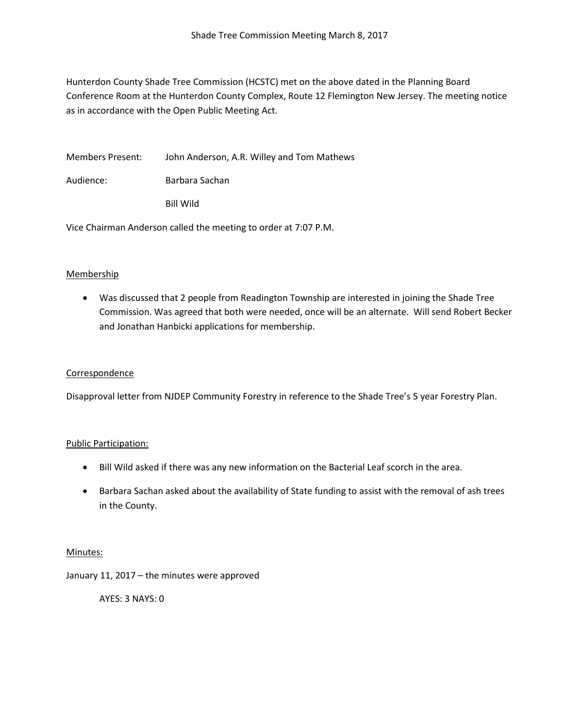Hunterdon County Shade Tree Commission (HCSTC) met on the above dated in the Planning Board Conference Room at the Hunterdon County Complex, Route 12 Flemington New Jersey. The meeting notice as in accordance with the Open Public Meeting Act.

Members Present: John Anderson, A.R. Willey and Tom Mathews

Audience: Barbara Sachan

Bill Wild

Vice Chairman Anderson called the meeting to order at 7:07 P.M.

# Membership

• Was discussed that 2 people from Readington Township are interested in joining the Shade Tree Commission. Was agreed that both were needed, once will be an alternate. Will send Robert Becker and Jonathan Hanbicki applications for membership.

## **Correspondence**

Disapproval letter from NJDEP Community Forestry in reference to the Shade Tree's 5 year Forestry Plan.

## Public Participation:

- Bill Wild asked if there was any new information on the Bacterial Leaf scorch in the area.
- Barbara Sachan asked about the availability of State funding to assist with the removal of ash trees in the County.

## Minutes:

January 11, 2017 – the minutes were approved

AYES: 3 NAYS: 0